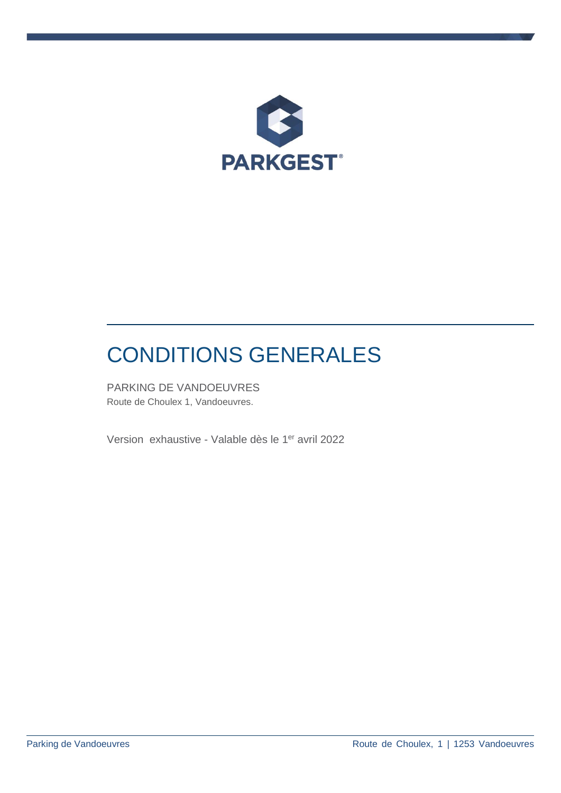

# CONDITIONS GENERALES

PARKING DE VANDOEUVRES Route de Choulex 1, Vandoeuvres.

Version exhaustive - Valable dès le 1<sup>er</sup> avril 2022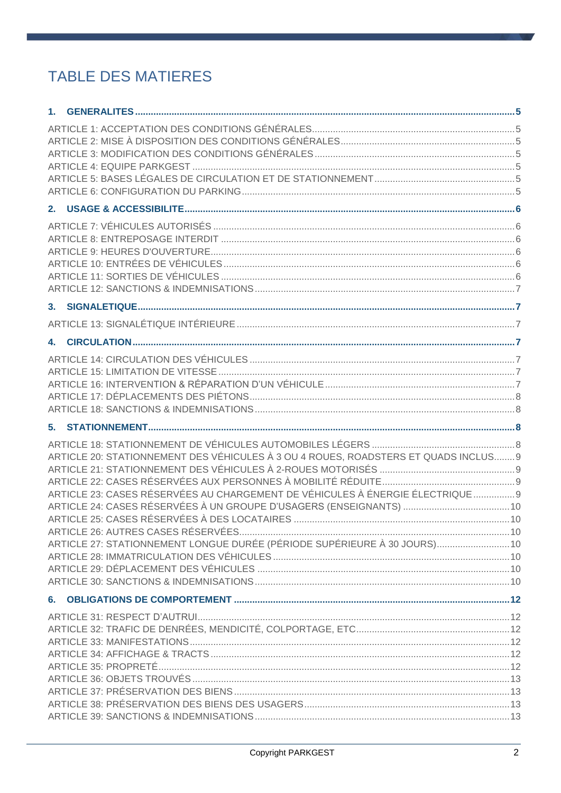# **TABLE DES MATIERES**

| ARTICLE 20: STATIONNEMENT DES VÉHICULES À 3 OU 4 ROUES, ROADSTERS ET QUADS INCLUS 9 |  |
|-------------------------------------------------------------------------------------|--|
|                                                                                     |  |
|                                                                                     |  |
| ARTICLE 23: CASES RÉSERVÉES AU CHARGEMENT DE VÉHICULES À ÉNERGIE ÉLECTRIQUE  9      |  |
|                                                                                     |  |
|                                                                                     |  |
| ARTICLE 27: STATIONNEMENT LONGUE DURÉE (PÉRIODE SUPÉRIEURE À 30 JOURS) 10           |  |
|                                                                                     |  |
|                                                                                     |  |
|                                                                                     |  |
|                                                                                     |  |
|                                                                                     |  |
|                                                                                     |  |
|                                                                                     |  |
|                                                                                     |  |
|                                                                                     |  |
|                                                                                     |  |
|                                                                                     |  |
|                                                                                     |  |
|                                                                                     |  |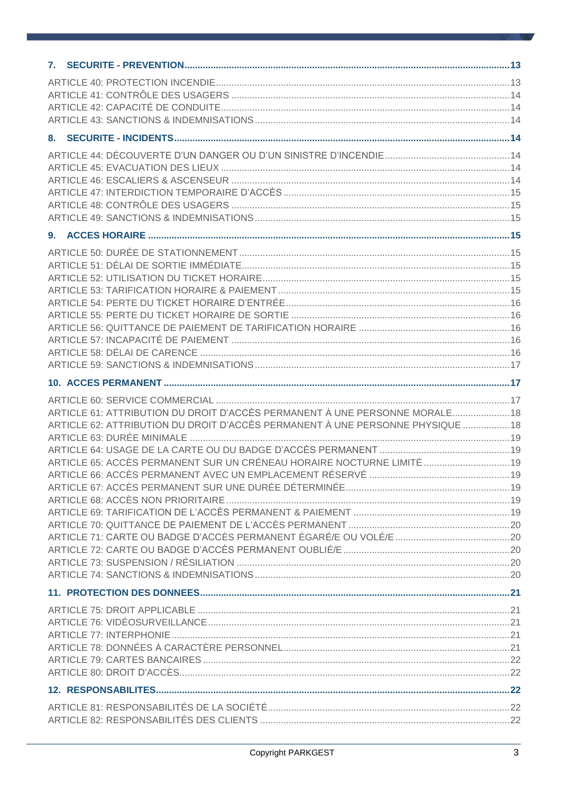| ARTICLE 61: ATTRIBUTION DU DROIT D'ACCÈS PERMANENT À UNE PERSONNE MORALE 18    |  |
|--------------------------------------------------------------------------------|--|
| ARTICLE 62: ATTRIBUTION DU DROIT D'ACCÈS PERMANENT À UNE PERSONNE PHYSIQUE  18 |  |
|                                                                                |  |
|                                                                                |  |
| ARTICLE 65: ACCÈS PERMANENT SUR UN CRÉNEAU HORAIRE NOCTURNE LIMITÉ  19         |  |
|                                                                                |  |
|                                                                                |  |
|                                                                                |  |
|                                                                                |  |
|                                                                                |  |
|                                                                                |  |
|                                                                                |  |
|                                                                                |  |
|                                                                                |  |
|                                                                                |  |
|                                                                                |  |
|                                                                                |  |
|                                                                                |  |
|                                                                                |  |
|                                                                                |  |
|                                                                                |  |
|                                                                                |  |
|                                                                                |  |
|                                                                                |  |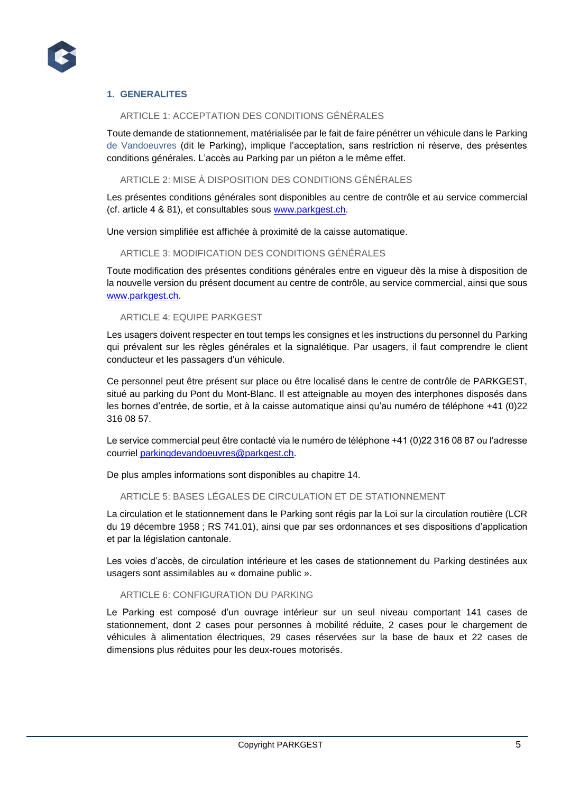

# **1. GENERALITES**

# ARTICLE 1: ACCEPTATION DES CONDITIONS GÉNÉRALES

Toute demande de stationnement, matérialisée par le fait de faire pénétrer un véhicule dans le Parking de Vandoeuvres (dit le Parking), implique l'acceptation, sans restriction ni réserve, des présentes conditions générales. L'accès au Parking par un piéton a le même effet.

#### ARTICLE 2: MISE À DISPOSITION DES CONDITIONS GÉNÉRALES

Les présentes conditions générales sont disponibles au centre de contrôle et au service commercial (cf. article 4 & 81), et consultables sous [www.parkgest.ch.](http://www.parkgest.ch/)

Une version simplifiée est affichée à proximité de la caisse automatique.

ARTICLE 3: MODIFICATION DES CONDITIONS GÉNÉRALES

Toute modification des présentes conditions générales entre en vigueur dès la mise à disposition de la nouvelle version du présent document au centre de contrôle, au service commercial, ainsi que sous [www.parkgest.ch.](http://www.parkgest.ch/)

#### ARTICLE 4: EQUIPE PARKGEST

Les usagers doivent respecter en tout temps les consignes et les instructions du personnel du Parking qui prévalent sur les règles générales et la signalétique. Par usagers, il faut comprendre le client conducteur et les passagers d'un véhicule.

Ce personnel peut être présent sur place ou être localisé dans le centre de contrôle de PARKGEST, situé au parking du Pont du Mont-Blanc. Il est atteignable au moyen des interphones disposés dans les bornes d'entrée, de sortie, et à la caisse automatique ainsi qu'au numéro de téléphone +41 (0)22 316 08 57.

Le service commercial peut être contacté via le numéro de téléphone +41 (0)22 316 08 87 ou l'adresse courriel [parkingdevandoeuvres@parkgest.ch.](mailto:parkingdevandoeuvres@parkgest.ch)

De plus amples informations sont disponibles au chapitre 14.

# ARTICLE 5: BASES LÉGALES DE CIRCULATION ET DE STATIONNEMENT

La circulation et le stationnement dans le Parking sont régis par la Loi sur la circulation routière (LCR du 19 décembre 1958 ; RS 741.01), ainsi que par ses ordonnances et ses dispositions d'application et par la législation cantonale.

Les voies d'accès, de circulation intérieure et les cases de stationnement du Parking destinées aux usagers sont assimilables au « domaine public ».

#### ARTICLE 6: CONFIGURATION DU PARKING

Le Parking est composé d'un ouvrage intérieur sur un seul niveau comportant 141 cases de stationnement, dont 2 cases pour personnes à mobilité réduite, 2 cases pour le chargement de véhicules à alimentation électriques, 29 cases réservées sur la base de baux et 22 cases de dimensions plus réduites pour les deux-roues motorisés.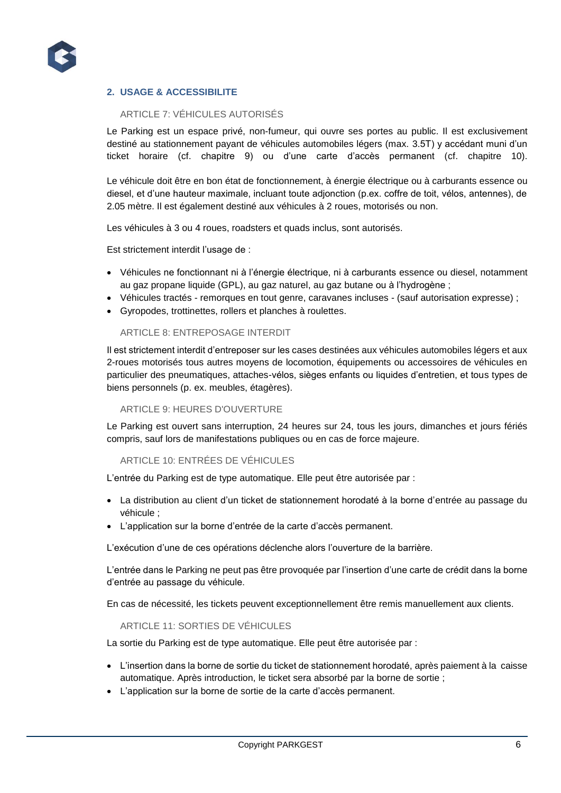

# **2. USAGE & ACCESSIBILITE**

# ARTICLE 7: VÉHICULES AUTORISÉS

Le Parking est un espace privé, non-fumeur, qui ouvre ses portes au public. Il est exclusivement destiné au stationnement payant de véhicules automobiles légers (max. 3.5T) y accédant muni d'un ticket horaire (cf. chapitre 9) ou d'une carte d'accès permanent (cf. chapitre 10).

Le véhicule doit être en bon état de fonctionnement, à énergie électrique ou à carburants essence ou diesel, et d'une hauteur maximale, incluant toute adjonction (p.ex. coffre de toit, vélos, antennes), de 2.05 mètre. Il est également destiné aux véhicules à 2 roues, motorisés ou non.

Les véhicules à 3 ou 4 roues, roadsters et quads inclus, sont autorisés.

Est strictement interdit l'usage de :

- Véhicules ne fonctionnant ni à l'énergie électrique, ni à carburants essence ou diesel, notamment au gaz propane liquide (GPL), au gaz naturel, au gaz butane ou à l'hydrogène ;
- Véhicules tractés remorques en tout genre, caravanes incluses (sauf autorisation expresse) ;
- Gyropodes, trottinettes, rollers et planches à roulettes.

#### ARTICLE 8: ENTREPOSAGE INTERDIT

Il est strictement interdit d'entreposer sur les cases destinées aux véhicules automobiles légers et aux 2-roues motorisés tous autres moyens de locomotion, équipements ou accessoires de véhicules en particulier des pneumatiques, attaches-vélos, sièges enfants ou liquides d'entretien, et tous types de biens personnels (p. ex. meubles, étagères).

#### ARTICLE 9: HEURES D'OUVERTURE

Le Parking est ouvert sans interruption, 24 heures sur 24, tous les jours, dimanches et jours fériés compris, sauf lors de manifestations publiques ou en cas de force majeure.

#### ARTICLE 10: ENTRÉES DE VÉHICULES

L'entrée du Parking est de type automatique. Elle peut être autorisée par :

- La distribution au client d'un ticket de stationnement horodaté à la borne d'entrée au passage du véhicule ;
- L'application sur la borne d'entrée de la carte d'accès permanent.

L'exécution d'une de ces opérations déclenche alors l'ouverture de la barrière.

L'entrée dans le Parking ne peut pas être provoquée par l'insertion d'une carte de crédit dans la borne d'entrée au passage du véhicule.

En cas de nécessité, les tickets peuvent exceptionnellement être remis manuellement aux clients.

ARTICLE 11: SORTIES DE VÉHICULES

La sortie du Parking est de type automatique. Elle peut être autorisée par :

- L'insertion dans la borne de sortie du ticket de stationnement horodaté, après paiement à la caisse automatique. Après introduction, le ticket sera absorbé par la borne de sortie ;
- L'application sur la borne de sortie de la carte d'accès permanent.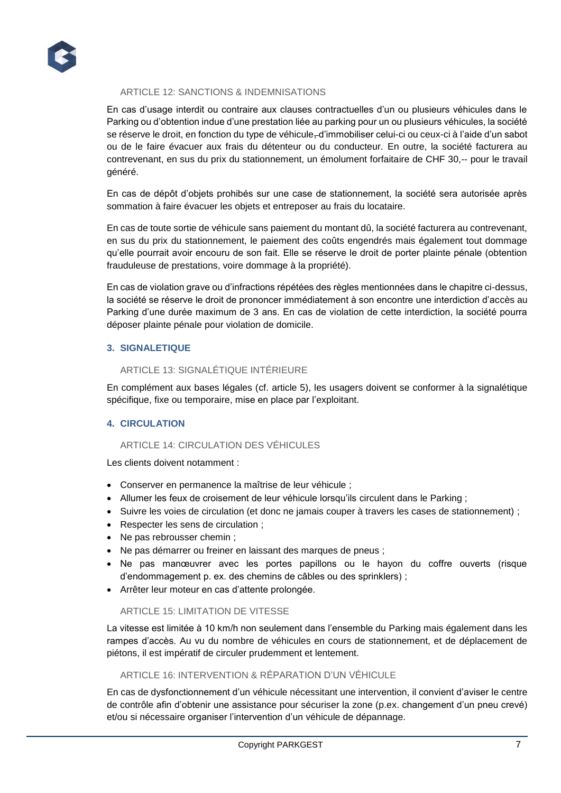

## ARTICLE 12: SANCTIONS & INDEMNISATIONS

En cas d'usage interdit ou contraire aux clauses contractuelles d'un ou plusieurs véhicules dans le Parking ou d'obtention indue d'une prestation liée au parking pour un ou plusieurs véhicules, la société se réserve le droit, en fonction du type de véhicule-d'immobiliser celui-ci ou ceux-ci à l'aide d'un sabot ou de le faire évacuer aux frais du détenteur ou du conducteur. En outre, la société facturera au contrevenant, en sus du prix du stationnement, un émolument forfaitaire de CHF 30,-- pour le travail généré.

En cas de dépôt d'objets prohibés sur une case de stationnement, la société sera autorisée après sommation à faire évacuer les objets et entreposer au frais du locataire.

En cas de toute sortie de véhicule sans paiement du montant dû, la société facturera au contrevenant, en sus du prix du stationnement, le paiement des coûts engendrés mais également tout dommage qu'elle pourrait avoir encouru de son fait. Elle se réserve le droit de porter plainte pénale (obtention frauduleuse de prestations, voire dommage à la propriété).

En cas de violation grave ou d'infractions répétées des règles mentionnées dans le chapitre ci-dessus, la société se réserve le droit de prononcer immédiatement à son encontre une interdiction d'accès au Parking d'une durée maximum de 3 ans. En cas de violation de cette interdiction, la société pourra déposer plainte pénale pour violation de domicile.

# **3. SIGNALETIQUE**

# ARTICLE 13: SIGNALÉTIQUE INTÉRIEURE

En complément aux bases légales (cf. article 5), les usagers doivent se conformer à la signalétique spécifique, fixe ou temporaire, mise en place par l'exploitant.

# **4. CIRCULATION**

#### ARTICLE 14: CIRCULATION DES VÉHICULES

Les clients doivent notamment :

- Conserver en permanence la maîtrise de leur véhicule ;
- Allumer les feux de croisement de leur véhicule lorsqu'ils circulent dans le Parking ;
- Suivre les voies de circulation (et donc ne jamais couper à travers les cases de stationnement) ;
- Respecter les sens de circulation ;
- Ne pas rebrousser chemin ;
- Ne pas démarrer ou freiner en laissant des marques de pneus ;
- Ne pas manœuvrer avec les portes papillons ou le hayon du coffre ouverts (risque d'endommagement p. ex. des chemins de câbles ou des sprinklers) ;
- Arrêter leur moteur en cas d'attente prolongée.

#### ARTICLE 15: LIMITATION DE VITESSE

La vitesse est limitée à 10 km/h non seulement dans l'ensemble du Parking mais également dans les rampes d'accès. Au vu du nombre de véhicules en cours de stationnement, et de déplacement de piétons, il est impératif de circuler prudemment et lentement.

#### ARTICLE 16: INTERVENTION & RÉPARATION D'UN VÉHICULE

En cas de dysfonctionnement d'un véhicule nécessitant une intervention, il convient d'aviser le centre de contrôle afin d'obtenir une assistance pour sécuriser la zone (p.ex. changement d'un pneu crevé) et/ou si nécessaire organiser l'intervention d'un véhicule de dépannage.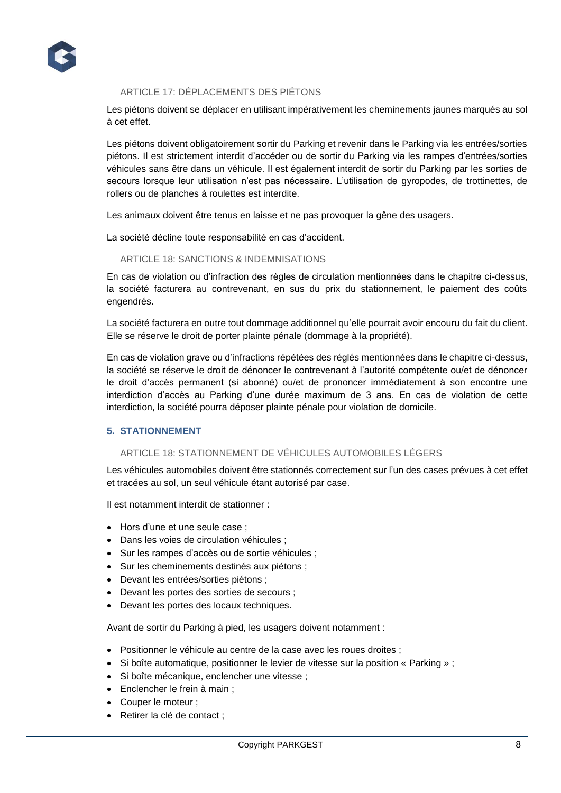

# ARTICLE 17: DÉPLACEMENTS DES PIÉTONS

Les piétons doivent se déplacer en utilisant impérativement les cheminements jaunes marqués au sol à cet effet.

Les piétons doivent obligatoirement sortir du Parking et revenir dans le Parking via les entrées/sorties piétons. Il est strictement interdit d'accéder ou de sortir du Parking via les rampes d'entrées/sorties véhicules sans être dans un véhicule. Il est également interdit de sortir du Parking par les sorties de secours lorsque leur utilisation n'est pas nécessaire. L'utilisation de gyropodes, de trottinettes, de rollers ou de planches à roulettes est interdite.

Les animaux doivent être tenus en laisse et ne pas provoquer la gêne des usagers.

La société décline toute responsabilité en cas d'accident.

#### ARTICLE 18: SANCTIONS & INDEMNISATIONS

En cas de violation ou d'infraction des règles de circulation mentionnées dans le chapitre ci-dessus, la société facturera au contrevenant, en sus du prix du stationnement, le paiement des coûts engendrés.

La société facturera en outre tout dommage additionnel qu'elle pourrait avoir encouru du fait du client. Elle se réserve le droit de porter plainte pénale (dommage à la propriété).

En cas de violation grave ou d'infractions répétées des réglés mentionnées dans le chapitre ci-dessus, la société se réserve le droit de dénoncer le contrevenant à l'autorité compétente ou/et de dénoncer le droit d'accès permanent (si abonné) ou/et de prononcer immédiatement à son encontre une interdiction d'accès au Parking d'une durée maximum de 3 ans. En cas de violation de cette interdiction, la société pourra déposer plainte pénale pour violation de domicile.

#### **5. STATIONNEMENT**

# ARTICLE 18: STATIONNEMENT DE VÉHICULES AUTOMOBILES LÉGERS

Les véhicules automobiles doivent être stationnés correctement sur l'un des cases prévues à cet effet et tracées au sol, un seul véhicule étant autorisé par case.

Il est notamment interdit de stationner :

- Hors d'une et une seule case ;
- Dans les voies de circulation véhicules ;
- Sur les rampes d'accès ou de sortie véhicules ;
- Sur les cheminements destinés aux piétons ;
- Devant les entrées/sorties piétons ;
- Devant les portes des sorties de secours ;
- Devant les portes des locaux techniques.

Avant de sortir du Parking à pied, les usagers doivent notamment :

- Positionner le véhicule au centre de la case avec les roues droites ;
- Si boîte automatique, positionner le levier de vitesse sur la position « Parking » ;
- Si boîte mécanique, enclencher une vitesse ;
- Enclencher le frein à main ;
- Couper le moteur :
- Retirer la clé de contact ;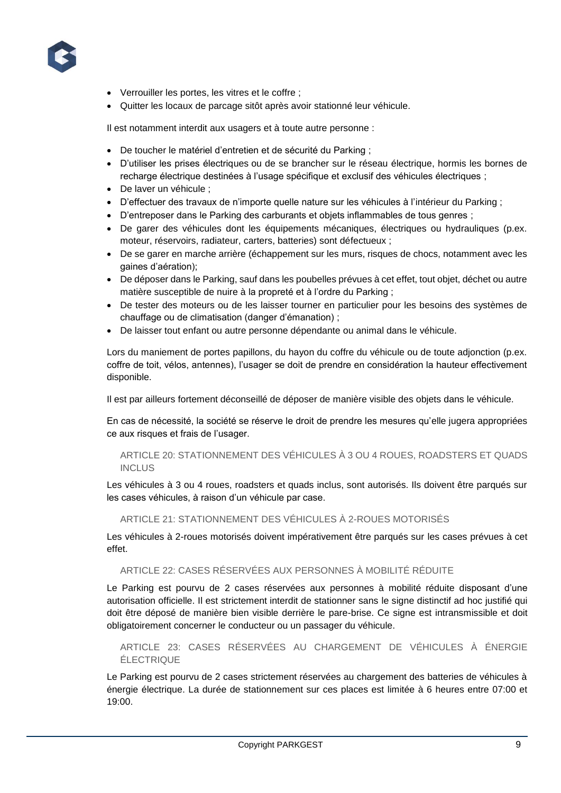

- Verrouiller les portes, les vitres et le coffre ;
- Quitter les locaux de parcage sitôt après avoir stationné leur véhicule.

Il est notamment interdit aux usagers et à toute autre personne :

- De toucher le matériel d'entretien et de sécurité du Parking ;
- D'utiliser les prises électriques ou de se brancher sur le réseau électrique, hormis les bornes de recharge électrique destinées à l'usage spécifique et exclusif des véhicules électriques ;
- De laver un véhicule ;
- D'effectuer des travaux de n'importe quelle nature sur les véhicules à l'intérieur du Parking ;
- D'entreposer dans le Parking des carburants et objets inflammables de tous genres ;
- De garer des véhicules dont les équipements mécaniques, électriques ou hydrauliques (p.ex. moteur, réservoirs, radiateur, carters, batteries) sont défectueux ;
- De se garer en marche arrière (échappement sur les murs, risques de chocs, notamment avec les gaines d'aération);
- De déposer dans le Parking, sauf dans les poubelles prévues à cet effet, tout objet, déchet ou autre matière susceptible de nuire à la propreté et à l'ordre du Parking ;
- De tester des moteurs ou de les laisser tourner en particulier pour les besoins des systèmes de chauffage ou de climatisation (danger d'émanation) ;
- De laisser tout enfant ou autre personne dépendante ou animal dans le véhicule.

Lors du maniement de portes papillons, du hayon du coffre du véhicule ou de toute adjonction (p.ex. coffre de toit, vélos, antennes), l'usager se doit de prendre en considération la hauteur effectivement disponible.

Il est par ailleurs fortement déconseillé de déposer de manière visible des objets dans le véhicule.

En cas de nécessité, la société se réserve le droit de prendre les mesures qu'elle jugera appropriées ce aux risques et frais de l'usager.

ARTICLE 20: STATIONNEMENT DES VÉHICULES À 3 OU 4 ROUES, ROADSTERS ET QUADS **INCLUS** 

Les véhicules à 3 ou 4 roues, roadsters et quads inclus, sont autorisés. Ils doivent être parqués sur les cases véhicules, à raison d'un véhicule par case.

ARTICLE 21: STATIONNEMENT DES VÉHICULES À 2-ROUES MOTORISÉS

Les véhicules à 2-roues motorisés doivent impérativement être parqués sur les cases prévues à cet effet.

ARTICLE 22: CASES RÉSERVÉES AUX PERSONNES À MOBILITÉ RÉDUITE

Le Parking est pourvu de 2 cases réservées aux personnes à mobilité réduite disposant d'une autorisation officielle. Il est strictement interdit de stationner sans le signe distinctif ad hoc justifié qui doit être déposé de manière bien visible derrière le pare-brise. Ce signe est intransmissible et doit obligatoirement concerner le conducteur ou un passager du véhicule.

ARTICLE 23: CASES RÉSERVÉES AU CHARGEMENT DE VÉHICULES À ÉNERGIE ÉLECTRIQUE

Le Parking est pourvu de 2 cases strictement réservées au chargement des batteries de véhicules à énergie électrique. La durée de stationnement sur ces places est limitée à 6 heures entre 07:00 et 19:00.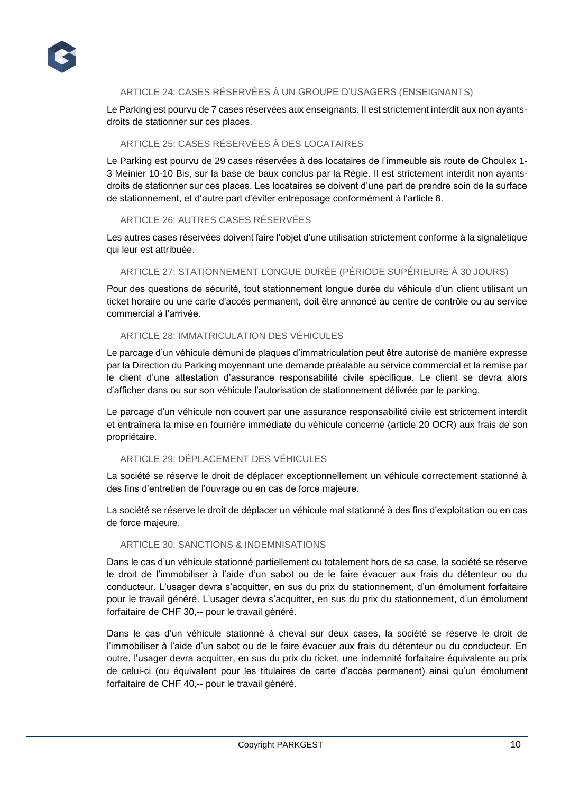

# ARTICLE 24: CASES RÉSERVÉES À UN GROUPE D'USAGERS (ENSEIGNANTS)

Le Parking est pourvu de 7 cases réservées aux enseignants. Il est strictement interdit aux non ayantsdroits de stationner sur ces places.

# ARTICLE 25: CASES RÉSERVÉES À DES LOCATAIRES

Le Parking est pourvu de 29 cases réservées à des locataires de l'immeuble sis route de Choulex 1- 3 Meinier 10-10 Bis, sur la base de baux conclus par la Régie. Il est strictement interdit non ayantsdroits de stationner sur ces places. Les locataires se doivent d'une part de prendre soin de la surface de stationnement, et d'autre part d'éviter entreposage conformément à l'article 8.

#### ARTICLE 26: AUTRES CASES RÉSERVÉES

Les autres cases réservées doivent faire l'objet d'une utilisation strictement conforme à la signalétique qui leur est attribuée.

#### ARTICLE 27: STATIONNEMENT LONGUE DURÉE (PÉRIODE SUPÉRIEURE À 30 JOURS)

Pour des questions de sécurité, tout stationnement longue durée du véhicule d'un client utilisant un ticket horaire ou une carte d'accès permanent, doit être annoncé au centre de contrôle ou au service commercial à l'arrivée.

# ARTICLE 28: IMMATRICULATION DES VÉHICULES

Le parcage d'un véhicule démuni de plaques d'immatriculation peut être autorisé de manière expresse par la Direction du Parking moyennant une demande préalable au service commercial et la remise par le client d'une attestation d'assurance responsabilité civile spécifique. Le client se devra alors d'afficher dans ou sur son véhicule l'autorisation de stationnement délivrée par le parking.

Le parcage d'un véhicule non couvert par une assurance responsabilité civile est strictement interdit et entraînera la mise en fourrière immédiate du véhicule concerné (article 20 OCR) aux frais de son propriétaire.

# ARTICLE 29: DÉPLACEMENT DES VÉHICULES

La société se réserve le droit de déplacer exceptionnellement un véhicule correctement stationné à des fins d'entretien de l'ouvrage ou en cas de force majeure.

La société se réserve le droit de déplacer un véhicule mal stationné à des fins d'exploitation ou en cas de force majeure.

# ARTICLE 30: SANCTIONS & INDEMNISATIONS

Dans le cas d'un véhicule stationné partiellement ou totalement hors de sa case, la société se réserve le droit de l'immobiliser à l'aide d'un sabot ou de le faire évacuer aux frais du détenteur ou du conducteur. L'usager devra s'acquitter, en sus du prix du stationnement, d'un émolument forfaitaire pour le travail généré. L'usager devra s'acquitter, en sus du prix du stationnement, d'un émolument forfaitaire de CHF 30,-- pour le travail généré.

Dans le cas d'un véhicule stationné à cheval sur deux cases, la société se réserve le droit de l'immobiliser à l'aide d'un sabot ou de le faire évacuer aux frais du détenteur ou du conducteur. En outre, l'usager devra acquitter, en sus du prix du ticket, une indemnité forfaitaire équivalente au prix de celui-ci (ou équivalent pour les titulaires de carte d'accès permanent) ainsi qu'un émolument forfaitaire de CHF 40,-- pour le travail généré.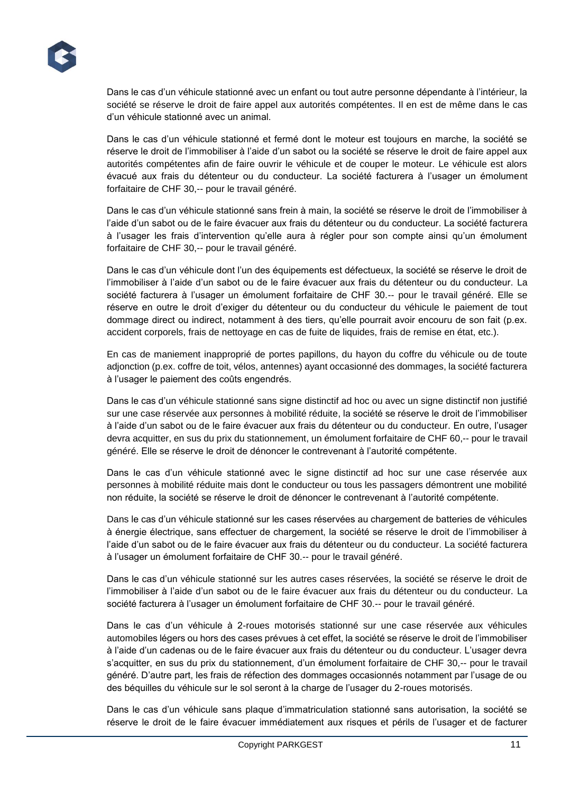Dans le cas d'un véhicule stationné avec un enfant ou tout autre personne dépendante à l'intérieur, la société se réserve le droit de faire appel aux autorités compétentes. Il en est de même dans le cas d'un véhicule stationné avec un animal.

Dans le cas d'un véhicule stationné et fermé dont le moteur est toujours en marche, la société se réserve le droit de l'immobiliser à l'aide d'un sabot ou la société se réserve le droit de faire appel aux autorités compétentes afin de faire ouvrir le véhicule et de couper le moteur. Le véhicule est alors évacué aux frais du détenteur ou du conducteur. La société facturera à l'usager un émolument forfaitaire de CHF 30,-- pour le travail généré.

Dans le cas d'un véhicule stationné sans frein à main, la société se réserve le droit de l'immobiliser à l'aide d'un sabot ou de le faire évacuer aux frais du détenteur ou du conducteur. La société facturera à l'usager les frais d'intervention qu'elle aura à régler pour son compte ainsi qu'un émolument forfaitaire de CHF 30,-- pour le travail généré.

Dans le cas d'un véhicule dont l'un des équipements est défectueux, la société se réserve le droit de l'immobiliser à l'aide d'un sabot ou de le faire évacuer aux frais du détenteur ou du conducteur. La société facturera à l'usager un émolument forfaitaire de CHF 30.-- pour le travail généré. Elle se réserve en outre le droit d'exiger du détenteur ou du conducteur du véhicule le paiement de tout dommage direct ou indirect, notamment à des tiers, qu'elle pourrait avoir encouru de son fait (p.ex. accident corporels, frais de nettoyage en cas de fuite de liquides, frais de remise en état, etc.).

En cas de maniement inapproprié de portes papillons, du hayon du coffre du véhicule ou de toute adjonction (p.ex. coffre de toit, vélos, antennes) ayant occasionné des dommages, la société facturera à l'usager le paiement des coûts engendrés.

Dans le cas d'un véhicule stationné sans signe distinctif ad hoc ou avec un signe distinctif non justifié sur une case réservée aux personnes à mobilité réduite, la société se réserve le droit de l'immobiliser à l'aide d'un sabot ou de le faire évacuer aux frais du détenteur ou du conducteur. En outre, l'usager devra acquitter, en sus du prix du stationnement, un émolument forfaitaire de CHF 60,-- pour le travail généré. Elle se réserve le droit de dénoncer le contrevenant à l'autorité compétente.

Dans le cas d'un véhicule stationné avec le signe distinctif ad hoc sur une case réservée aux personnes à mobilité réduite mais dont le conducteur ou tous les passagers démontrent une mobilité non réduite, la société se réserve le droit de dénoncer le contrevenant à l'autorité compétente.

Dans le cas d'un véhicule stationné sur les cases réservées au chargement de batteries de véhicules à énergie électrique, sans effectuer de chargement, la société se réserve le droit de l'immobiliser à l'aide d'un sabot ou de le faire évacuer aux frais du détenteur ou du conducteur. La société facturera à l'usager un émolument forfaitaire de CHF 30.-- pour le travail généré.

Dans le cas d'un véhicule stationné sur les autres cases réservées, la société se réserve le droit de l'immobiliser à l'aide d'un sabot ou de le faire évacuer aux frais du détenteur ou du conducteur. La société facturera à l'usager un émolument forfaitaire de CHF 30.-- pour le travail généré.

Dans le cas d'un véhicule à 2-roues motorisés stationné sur une case réservée aux véhicules automobiles légers ou hors des cases prévues à cet effet, la société se réserve le droit de l'immobiliser à l'aide d'un cadenas ou de le faire évacuer aux frais du détenteur ou du conducteur. L'usager devra s'acquitter, en sus du prix du stationnement, d'un émolument forfaitaire de CHF 30,-- pour le travail généré. D'autre part, les frais de réfection des dommages occasionnés notamment par l'usage de ou des béquilles du véhicule sur le sol seront à la charge de l'usager du 2-roues motorisés.

Dans le cas d'un véhicule sans plaque d'immatriculation stationné sans autorisation, la société se réserve le droit de le faire évacuer immédiatement aux risques et périls de l'usager et de facturer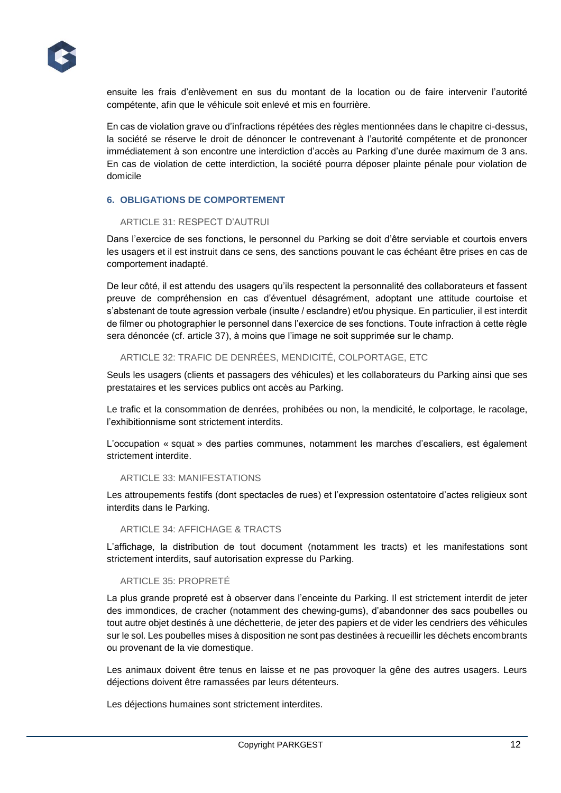

ensuite les frais d'enlèvement en sus du montant de la location ou de faire intervenir l'autorité compétente, afin que le véhicule soit enlevé et mis en fourrière.

En cas de violation grave ou d'infractions répétées des règles mentionnées dans le chapitre ci-dessus, la société se réserve le droit de dénoncer le contrevenant à l'autorité compétente et de prononcer immédiatement à son encontre une interdiction d'accès au Parking d'une durée maximum de 3 ans. En cas de violation de cette interdiction, la société pourra déposer plainte pénale pour violation de domicile

#### **6. OBLIGATIONS DE COMPORTEMENT**

#### ARTICLE 31: RESPECT D'AUTRUI

Dans l'exercice de ses fonctions, le personnel du Parking se doit d'être serviable et courtois envers les usagers et il est instruit dans ce sens, des sanctions pouvant le cas échéant être prises en cas de comportement inadapté.

De leur côté, il est attendu des usagers qu'ils respectent la personnalité des collaborateurs et fassent preuve de compréhension en cas d'éventuel désagrément, adoptant une attitude courtoise et s'abstenant de toute agression verbale (insulte / esclandre) et/ou physique. En particulier, il est interdit de filmer ou photographier le personnel dans l'exercice de ses fonctions. Toute infraction à cette règle sera dénoncée (cf. article 37), à moins que l'image ne soit supprimée sur le champ.

## ARTICLE 32: TRAFIC DE DENRÉES, MENDICITÉ, COLPORTAGE, ETC

Seuls les usagers (clients et passagers des véhicules) et les collaborateurs du Parking ainsi que ses prestataires et les services publics ont accès au Parking.

Le trafic et la consommation de denrées, prohibées ou non, la mendicité, le colportage, le racolage, l'exhibitionnisme sont strictement interdits.

L'occupation « squat » des parties communes, notamment les marches d'escaliers, est également strictement interdite.

#### ARTICLE 33: MANIFESTATIONS

Les attroupements festifs (dont spectacles de rues) et l'expression ostentatoire d'actes religieux sont interdits dans le Parking.

#### ARTICLE 34: AFFICHAGE & TRACTS

L'affichage, la distribution de tout document (notamment les tracts) et les manifestations sont strictement interdits, sauf autorisation expresse du Parking.

#### ARTICLE 35: PROPRETÉ

La plus grande propreté est à observer dans l'enceinte du Parking. Il est strictement interdit de jeter des immondices, de cracher (notamment des chewing-gums), d'abandonner des sacs poubelles ou tout autre objet destinés à une déchetterie, de jeter des papiers et de vider les cendriers des véhicules sur le sol. Les poubelles mises à disposition ne sont pas destinées à recueillir les déchets encombrants ou provenant de la vie domestique.

Les animaux doivent être tenus en laisse et ne pas provoquer la gêne des autres usagers. Leurs déjections doivent être ramassées par leurs détenteurs.

Les déjections humaines sont strictement interdites.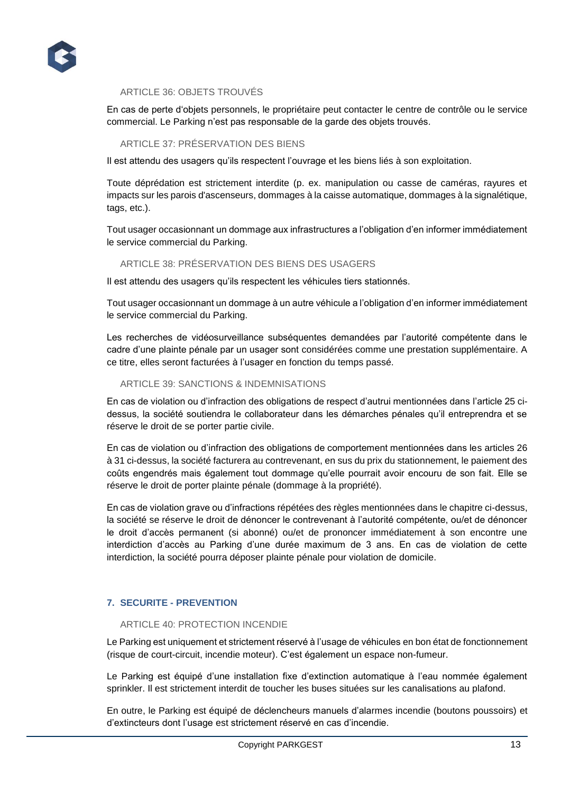

# ARTICLE 36: OBJETS TROUVÉS

En cas de perte d'objets personnels, le propriétaire peut contacter le centre de contrôle ou le service commercial. Le Parking n'est pas responsable de la garde des objets trouvés.

#### ARTICLE 37: PRÉSERVATION DES BIENS

Il est attendu des usagers qu'ils respectent l'ouvrage et les biens liés à son exploitation.

Toute déprédation est strictement interdite (p. ex. manipulation ou casse de caméras, rayures et impacts sur les parois d'ascenseurs, dommages à la caisse automatique, dommages à la signalétique, tags, etc.).

Tout usager occasionnant un dommage aux infrastructures a l'obligation d'en informer immédiatement le service commercial du Parking.

# ARTICLE 38: PRÉSERVATION DES BIENS DES USAGERS

Il est attendu des usagers qu'ils respectent les véhicules tiers stationnés.

Tout usager occasionnant un dommage à un autre véhicule a l'obligation d'en informer immédiatement le service commercial du Parking.

Les recherches de vidéosurveillance subséquentes demandées par l'autorité compétente dans le cadre d'une plainte pénale par un usager sont considérées comme une prestation supplémentaire. A ce titre, elles seront facturées à l'usager en fonction du temps passé.

#### ARTICLE 39: SANCTIONS & INDEMNISATIONS

En cas de violation ou d'infraction des obligations de respect d'autrui mentionnées dans l'article 25 cidessus, la société soutiendra le collaborateur dans les démarches pénales qu'il entreprendra et se réserve le droit de se porter partie civile.

En cas de violation ou d'infraction des obligations de comportement mentionnées dans les articles 26 à 31 ci-dessus, la société facturera au contrevenant, en sus du prix du stationnement, le paiement des coûts engendrés mais également tout dommage qu'elle pourrait avoir encouru de son fait. Elle se réserve le droit de porter plainte pénale (dommage à la propriété).

En cas de violation grave ou d'infractions répétées des règles mentionnées dans le chapitre ci-dessus, la société se réserve le droit de dénoncer le contrevenant à l'autorité compétente, ou/et de dénoncer le droit d'accès permanent (si abonné) ou/et de prononcer immédiatement à son encontre une interdiction d'accès au Parking d'une durée maximum de 3 ans. En cas de violation de cette interdiction, la société pourra déposer plainte pénale pour violation de domicile.

# **7. SECURITE - PREVENTION**

## ARTICLE 40: PROTECTION INCENDIE

Le Parking est uniquement et strictement réservé à l'usage de véhicules en bon état de fonctionnement (risque de court-circuit, incendie moteur). C'est également un espace non-fumeur.

Le Parking est équipé d'une installation fixe d'extinction automatique à l'eau nommée également sprinkler. Il est strictement interdit de toucher les buses situées sur les canalisations au plafond.

En outre, le Parking est équipé de déclencheurs manuels d'alarmes incendie (boutons poussoirs) et d'extincteurs dont l'usage est strictement réservé en cas d'incendie.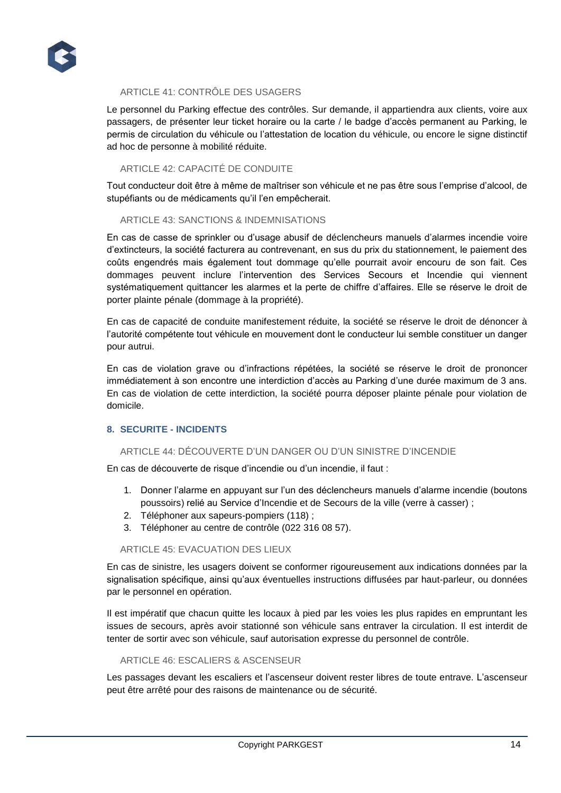

# ARTICLE 41: CONTRÔLE DES USAGERS

Le personnel du Parking effectue des contrôles. Sur demande, il appartiendra aux clients, voire aux passagers, de présenter leur ticket horaire ou la carte / le badge d'accès permanent au Parking, le permis de circulation du véhicule ou l'attestation de location du véhicule, ou encore le signe distinctif ad hoc de personne à mobilité réduite.

# ARTICLE 42: CAPACITÉ DE CONDUITE

Tout conducteur doit être à même de maîtriser son véhicule et ne pas être sous l'emprise d'alcool, de stupéfiants ou de médicaments qu'il l'en empêcherait.

#### ARTICLE 43: SANCTIONS & INDEMNISATIONS

En cas de casse de sprinkler ou d'usage abusif de déclencheurs manuels d'alarmes incendie voire d'extincteurs, la société facturera au contrevenant, en sus du prix du stationnement, le paiement des coûts engendrés mais également tout dommage qu'elle pourrait avoir encouru de son fait. Ces dommages peuvent inclure l'intervention des Services Secours et Incendie qui viennent systématiquement quittancer les alarmes et la perte de chiffre d'affaires. Elle se réserve le droit de porter plainte pénale (dommage à la propriété).

En cas de capacité de conduite manifestement réduite, la société se réserve le droit de dénoncer à l'autorité compétente tout véhicule en mouvement dont le conducteur lui semble constituer un danger pour autrui.

En cas de violation grave ou d'infractions répétées, la société se réserve le droit de prononcer immédiatement à son encontre une interdiction d'accès au Parking d'une durée maximum de 3 ans. En cas de violation de cette interdiction, la société pourra déposer plainte pénale pour violation de domicile.

# **8. SECURITE - INCIDENTS**

# ARTICLE 44: DÉCOUVERTE D'UN DANGER OU D'UN SINISTRE D'INCENDIE

En cas de découverte de risque d'incendie ou d'un incendie, il faut :

- 1. Donner l'alarme en appuyant sur l'un des déclencheurs manuels d'alarme incendie (boutons poussoirs) relié au Service d'Incendie et de Secours de la ville (verre à casser) ;
- 2. Téléphoner aux sapeurs-pompiers (118) ;
- 3. Téléphoner au centre de contrôle (022 316 08 57).

#### ARTICLE 45: EVACUATION DES LIEUX

En cas de sinistre, les usagers doivent se conformer rigoureusement aux indications données par la signalisation spécifique, ainsi qu'aux éventuelles instructions diffusées par haut-parleur, ou données par le personnel en opération.

Il est impératif que chacun quitte les locaux à pied par les voies les plus rapides en empruntant les issues de secours, après avoir stationné son véhicule sans entraver la circulation. Il est interdit de tenter de sortir avec son véhicule, sauf autorisation expresse du personnel de contrôle.

#### ARTICLE 46: ESCALIERS & ASCENSEUR

Les passages devant les escaliers et l'ascenseur doivent rester libres de toute entrave. L'ascenseur peut être arrêté pour des raisons de maintenance ou de sécurité.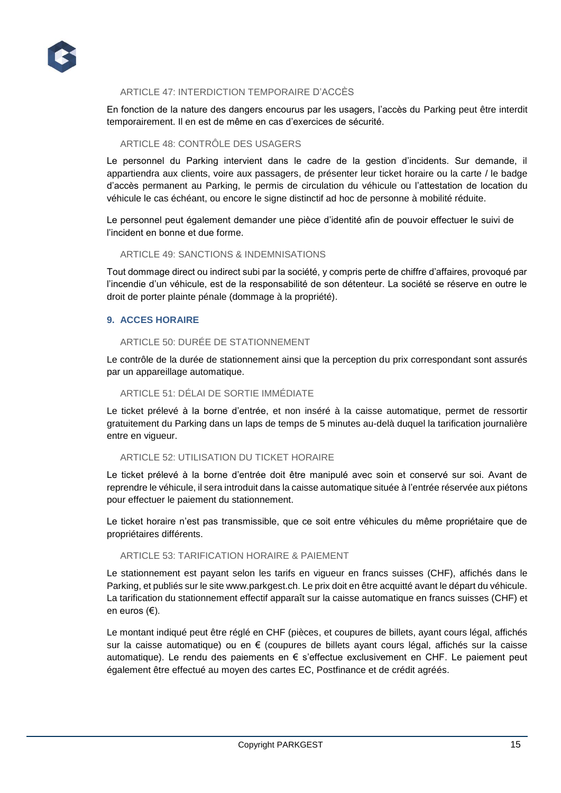

# ARTICLE 47: INTERDICTION TEMPORAIRE D'ACCÈS

En fonction de la nature des dangers encourus par les usagers, l'accès du Parking peut être interdit temporairement. Il en est de même en cas d'exercices de sécurité.

# ARTICLE 48: CONTRÔLE DES USAGERS

Le personnel du Parking intervient dans le cadre de la gestion d'incidents. Sur demande, il appartiendra aux clients, voire aux passagers, de présenter leur ticket horaire ou la carte / le badge d'accès permanent au Parking, le permis de circulation du véhicule ou l'attestation de location du véhicule le cas échéant, ou encore le signe distinctif ad hoc de personne à mobilité réduite.

Le personnel peut également demander une pièce d'identité afin de pouvoir effectuer le suivi de l'incident en bonne et due forme.

#### ARTICLE 49: SANCTIONS & INDEMNISATIONS

Tout dommage direct ou indirect subi par la société, y compris perte de chiffre d'affaires, provoqué par l'incendie d'un véhicule, est de la responsabilité de son détenteur. La société se réserve en outre le droit de porter plainte pénale (dommage à la propriété).

#### **9. ACCES HORAIRE**

## ARTICLE 50: DURÉE DE STATIONNEMENT

Le contrôle de la durée de stationnement ainsi que la perception du prix correspondant sont assurés par un appareillage automatique.

#### ARTICLE 51: DÉLAI DE SORTIE IMMÉDIATE

Le ticket prélevé à la borne d'entrée, et non inséré à la caisse automatique, permet de ressortir gratuitement du Parking dans un laps de temps de 5 minutes au-delà duquel la tarification journalière entre en vigueur.

#### ARTICLE 52: UTILISATION DU TICKET HORAIRE

Le ticket prélevé à la borne d'entrée doit être manipulé avec soin et conservé sur soi. Avant de reprendre le véhicule, il sera introduit dans la caisse automatique située à l'entrée réservée aux piétons pour effectuer le paiement du stationnement.

Le ticket horaire n'est pas transmissible, que ce soit entre véhicules du même propriétaire que de propriétaires différents.

# ARTICLE 53: TARIFICATION HORAIRE & PAIEMENT

Le stationnement est payant selon les tarifs en vigueur en francs suisses (CHF), affichés dans le Parking, et publiés sur le site www.parkgest.ch. Le prix doit en être acquitté avant le départ du véhicule. La tarification du stationnement effectif apparaît sur la caisse automatique en francs suisses (CHF) et en euros (€).

Le montant indiqué peut être réglé en CHF (pièces, et coupures de billets, ayant cours légal, affichés sur la caisse automatique) ou en € (coupures de billets ayant cours légal, affichés sur la caisse automatique). Le rendu des paiements en € s'effectue exclusivement en CHF. Le paiement peut également être effectué au moyen des cartes EC, Postfinance et de crédit agréés.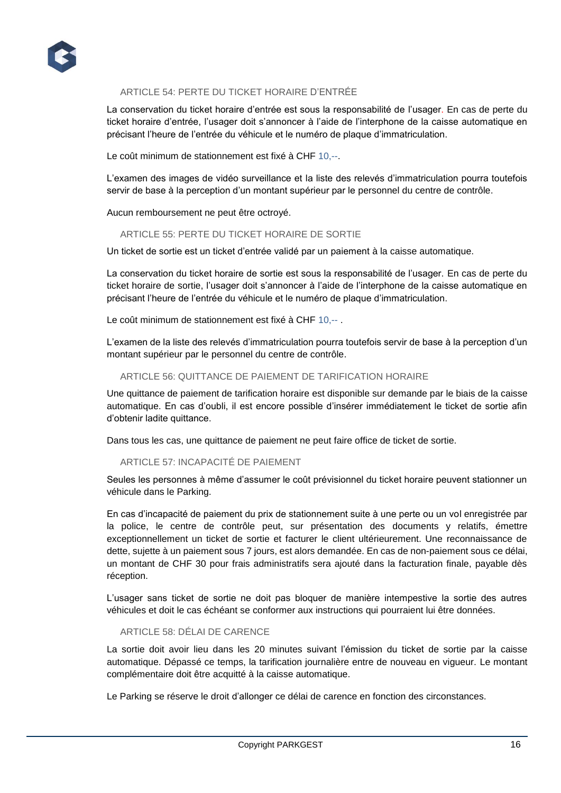

# ARTICLE 54: PERTE DU TICKET HORAIRE D'ENTRÉE

La conservation du ticket horaire d'entrée est sous la responsabilité de l'usager. En cas de perte du ticket horaire d'entrée, l'usager doit s'annoncer à l'aide de l'interphone de la caisse automatique en précisant l'heure de l'entrée du véhicule et le numéro de plaque d'immatriculation.

Le coût minimum de stationnement est fixé à CHF 10,--.

L'examen des images de vidéo surveillance et la liste des relevés d'immatriculation pourra toutefois servir de base à la perception d'un montant supérieur par le personnel du centre de contrôle.

Aucun remboursement ne peut être octroyé.

#### ARTICLE 55: PERTE DU TICKET HORAIRE DE SORTIE

Un ticket de sortie est un ticket d'entrée validé par un paiement à la caisse automatique.

La conservation du ticket horaire de sortie est sous la responsabilité de l'usager. En cas de perte du ticket horaire de sortie, l'usager doit s'annoncer à l'aide de l'interphone de la caisse automatique en précisant l'heure de l'entrée du véhicule et le numéro de plaque d'immatriculation.

Le coût minimum de stationnement est fixé à CHF 10,--.

L'examen de la liste des relevés d'immatriculation pourra toutefois servir de base à la perception d'un montant supérieur par le personnel du centre de contrôle.

# ARTICLE 56: QUITTANCE DE PAIEMENT DE TARIFICATION HORAIRE

Une quittance de paiement de tarification horaire est disponible sur demande par le biais de la caisse automatique. En cas d'oubli, il est encore possible d'insérer immédiatement le ticket de sortie afin d'obtenir ladite quittance.

Dans tous les cas, une quittance de paiement ne peut faire office de ticket de sortie.

#### ARTICLE 57: INCAPACITÉ DE PAIEMENT

Seules les personnes à même d'assumer le coût prévisionnel du ticket horaire peuvent stationner un véhicule dans le Parking.

En cas d'incapacité de paiement du prix de stationnement suite à une perte ou un vol enregistrée par la police, le centre de contrôle peut, sur présentation des documents y relatifs, émettre exceptionnellement un ticket de sortie et facturer le client ultérieurement. Une reconnaissance de dette, sujette à un paiement sous 7 jours, est alors demandée. En cas de non-paiement sous ce délai, un montant de CHF 30 pour frais administratifs sera ajouté dans la facturation finale, payable dès réception.

L'usager sans ticket de sortie ne doit pas bloquer de manière intempestive la sortie des autres véhicules et doit le cas échéant se conformer aux instructions qui pourraient lui être données.

#### ARTICLE 58: DÉLAI DE CARENCE

La sortie doit avoir lieu dans les 20 minutes suivant l'émission du ticket de sortie par la caisse automatique. Dépassé ce temps, la tarification journalière entre de nouveau en vigueur. Le montant complémentaire doit être acquitté à la caisse automatique.

Le Parking se réserve le droit d'allonger ce délai de carence en fonction des circonstances.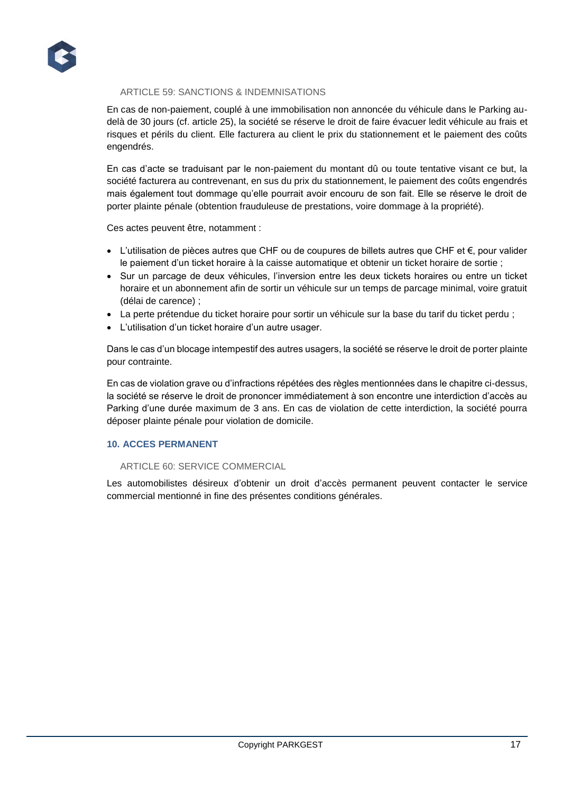

# ARTICLE 59: SANCTIONS & INDEMNISATIONS

En cas de non-paiement, couplé à une immobilisation non annoncée du véhicule dans le Parking audelà de 30 jours (cf. article 25), la société se réserve le droit de faire évacuer ledit véhicule au frais et risques et périls du client. Elle facturera au client le prix du stationnement et le paiement des coûts engendrés.

En cas d'acte se traduisant par le non-paiement du montant dû ou toute tentative visant ce but, la société facturera au contrevenant, en sus du prix du stationnement, le paiement des coûts engendrés mais également tout dommage qu'elle pourrait avoir encouru de son fait. Elle se réserve le droit de porter plainte pénale (obtention frauduleuse de prestations, voire dommage à la propriété).

Ces actes peuvent être, notamment :

- L'utilisation de pièces autres que CHF ou de coupures de billets autres que CHF et €, pour valider le paiement d'un ticket horaire à la caisse automatique et obtenir un ticket horaire de sortie ;
- Sur un parcage de deux véhicules, l'inversion entre les deux tickets horaires ou entre un ticket horaire et un abonnement afin de sortir un véhicule sur un temps de parcage minimal, voire gratuit (délai de carence) ;
- La perte prétendue du ticket horaire pour sortir un véhicule sur la base du tarif du ticket perdu ;
- L'utilisation d'un ticket horaire d'un autre usager.

Dans le cas d'un blocage intempestif des autres usagers, la société se réserve le droit de porter plainte pour contrainte.

En cas de violation grave ou d'infractions répétées des règles mentionnées dans le chapitre ci-dessus, la société se réserve le droit de prononcer immédiatement à son encontre une interdiction d'accès au Parking d'une durée maximum de 3 ans. En cas de violation de cette interdiction, la société pourra déposer plainte pénale pour violation de domicile.

# **10. ACCES PERMANENT**

#### ARTICLE 60: SERVICE COMMERCIAL

Les automobilistes désireux d'obtenir un droit d'accès permanent peuvent contacter le service commercial mentionné in fine des présentes conditions générales.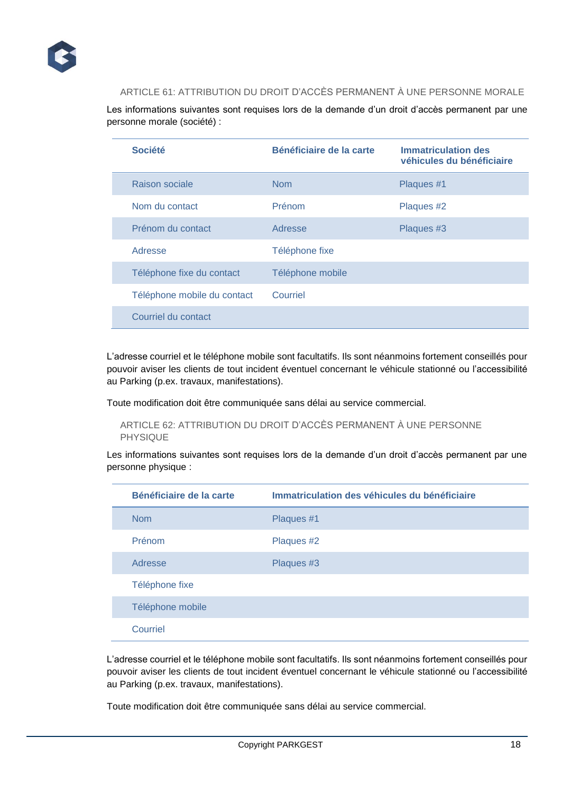

# ARTICLE 61: ATTRIBUTION DU DROIT D'ACCÈS PERMANENT À UNE PERSONNE MORALE

Les informations suivantes sont requises lors de la demande d'un droit d'accès permanent par une personne morale (société) :

| <b>Société</b>              | Bénéficiaire de la carte | <b>Immatriculation des</b><br>véhicules du bénéficiaire |
|-----------------------------|--------------------------|---------------------------------------------------------|
| Raison sociale              | <b>Nom</b>               | Plaques #1                                              |
| Nom du contact              | Prénom                   | Plaques #2                                              |
| Prénom du contact           | Adresse                  | Plaques #3                                              |
| Adresse                     | Téléphone fixe           |                                                         |
| Téléphone fixe du contact   | Téléphone mobile         |                                                         |
| Téléphone mobile du contact | Courriel                 |                                                         |
| Courriel du contact         |                          |                                                         |

L'adresse courriel et le téléphone mobile sont facultatifs. Ils sont néanmoins fortement conseillés pour pouvoir aviser les clients de tout incident éventuel concernant le véhicule stationné ou l'accessibilité au Parking (p.ex. travaux, manifestations).

Toute modification doit être communiquée sans délai au service commercial.

# ARTICLE 62: ATTRIBUTION DU DROIT D'ACCÈS PERMANENT À UNE PERSONNE PHYSIQUE

Les informations suivantes sont requises lors de la demande d'un droit d'accès permanent par une personne physique :

| Bénéficiaire de la carte<br>Immatriculation des véhicules du bénéficiaire |            |
|---------------------------------------------------------------------------|------------|
| <b>Nom</b>                                                                | Plaques #1 |
| Prénom                                                                    | Plaques #2 |
| Adresse                                                                   | Plaques #3 |
| Téléphone fixe                                                            |            |
| Téléphone mobile                                                          |            |
| Courriel                                                                  |            |

L'adresse courriel et le téléphone mobile sont facultatifs. Ils sont néanmoins fortement conseillés pour pouvoir aviser les clients de tout incident éventuel concernant le véhicule stationné ou l'accessibilité au Parking (p.ex. travaux, manifestations).

Toute modification doit être communiquée sans délai au service commercial.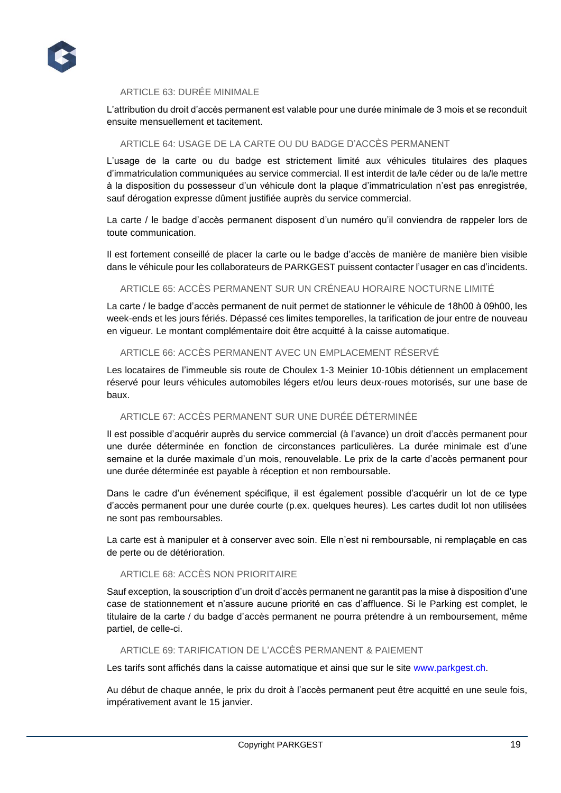

# ARTICLE 63: DURÉE MINIMALE

L'attribution du droit d'accès permanent est valable pour une durée minimale de 3 mois et se reconduit ensuite mensuellement et tacitement.

#### ARTICLE 64: USAGE DE LA CARTE OU DU BADGE D'ACCÈS PERMANENT

L'usage de la carte ou du badge est strictement limité aux véhicules titulaires des plaques d'immatriculation communiquées au service commercial. Il est interdit de la/le céder ou de la/le mettre à la disposition du possesseur d'un véhicule dont la plaque d'immatriculation n'est pas enregistrée, sauf dérogation expresse dûment justifiée auprès du service commercial.

La carte / le badge d'accès permanent disposent d'un numéro qu'il conviendra de rappeler lors de toute communication.

Il est fortement conseillé de placer la carte ou le badge d'accès de manière de manière bien visible dans le véhicule pour les collaborateurs de PARKGEST puissent contacter l'usager en cas d'incidents.

#### ARTICLE 65: ACCÈS PERMANENT SUR UN CRÉNEAU HORAIRE NOCTURNE LIMITÉ

La carte / le badge d'accès permanent de nuit permet de stationner le véhicule de 18h00 à 09h00, les week-ends et les jours fériés. Dépassé ces limites temporelles, la tarification de jour entre de nouveau en vigueur. Le montant complémentaire doit être acquitté à la caisse automatique.

# ARTICLE 66: ACCÈS PERMANENT AVEC UN EMPLACEMENT RÉSERVÉ

Les locataires de l'immeuble sis route de Choulex 1-3 Meinier 10-10bis détiennent un emplacement réservé pour leurs véhicules automobiles légers et/ou leurs deux-roues motorisés, sur une base de baux.

# ARTICLE 67: ACCÈS PERMANENT SUR UNE DURÉE DÉTERMINÉE

Il est possible d'acquérir auprès du service commercial (à l'avance) un droit d'accès permanent pour une durée déterminée en fonction de circonstances particulières. La durée minimale est d'une semaine et la durée maximale d'un mois, renouvelable. Le prix de la carte d'accès permanent pour une durée déterminée est payable à réception et non remboursable.

Dans le cadre d'un événement spécifique, il est également possible d'acquérir un lot de ce type d'accès permanent pour une durée courte (p.ex. quelques heures). Les cartes dudit lot non utilisées ne sont pas remboursables.

La carte est à manipuler et à conserver avec soin. Elle n'est ni remboursable, ni remplaçable en cas de perte ou de détérioration.

# ARTICLE 68: ACCÈS NON PRIORITAIRE

Sauf exception, la souscription d'un droit d'accès permanent ne garantit pas la mise à disposition d'une case de stationnement et n'assure aucune priorité en cas d'affluence. Si le Parking est complet, le titulaire de la carte / du badge d'accès permanent ne pourra prétendre à un remboursement, même partiel, de celle-ci.

#### ARTICLE 69: TARIFICATION DE L'ACCÈS PERMANENT & PAIEMENT

Les tarifs sont affichés dans la caisse automatique et ainsi que sur le site www.parkgest.ch.

Au début de chaque année, le prix du droit à l'accès permanent peut être acquitté en une seule fois, impérativement avant le 15 janvier.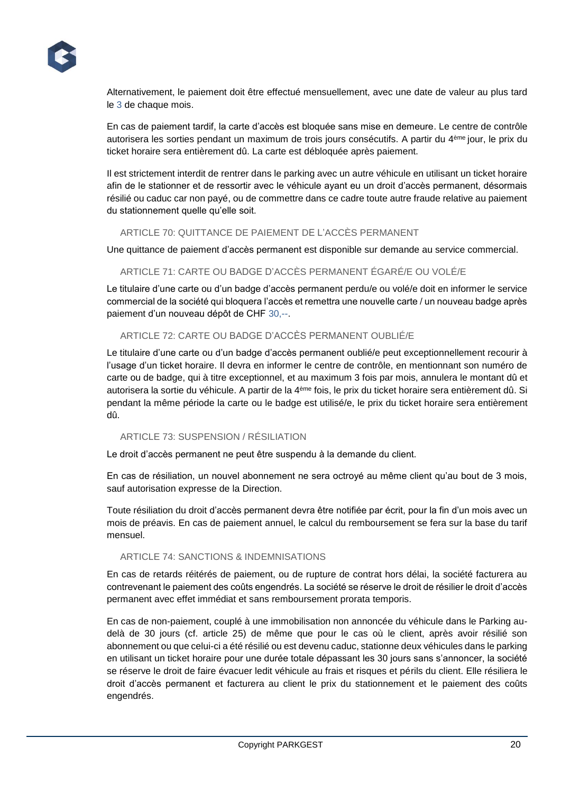

Alternativement, le paiement doit être effectué mensuellement, avec une date de valeur au plus tard le 3 de chaque mois.

En cas de paiement tardif, la carte d'accès est bloquée sans mise en demeure. Le centre de contrôle autorisera les sorties pendant un maximum de trois jours consécutifs. A partir du 4ème jour, le prix du ticket horaire sera entièrement dû. La carte est débloquée après paiement.

Il est strictement interdit de rentrer dans le parking avec un autre véhicule en utilisant un ticket horaire afin de le stationner et de ressortir avec le véhicule ayant eu un droit d'accès permanent, désormais résilié ou caduc car non payé, ou de commettre dans ce cadre toute autre fraude relative au paiement du stationnement quelle qu'elle soit.

# ARTICLE 70: QUITTANCE DE PAIEMENT DE L'ACCÈS PERMANENT

Une quittance de paiement d'accès permanent est disponible sur demande au service commercial.

# ARTICLE 71: CARTE OU BADGE D'ACCÈS PERMANENT ÉGARÉ/E OU VOLÉ/E

Le titulaire d'une carte ou d'un badge d'accès permanent perdu/e ou volé/e doit en informer le service commercial de la société qui bloquera l'accès et remettra une nouvelle carte / un nouveau badge après paiement d'un nouveau dépôt de CHF 30,--.

# ARTICLE 72: CARTE OU BADGE D'ACCÈS PERMANENT OUBLIÉ/E

Le titulaire d'une carte ou d'un badge d'accès permanent oublié/e peut exceptionnellement recourir à l'usage d'un ticket horaire. Il devra en informer le centre de contrôle, en mentionnant son numéro de carte ou de badge, qui à titre exceptionnel, et au maximum 3 fois par mois, annulera le montant dû et autorisera la sortie du véhicule. A partir de la 4ème fois, le prix du ticket horaire sera entièrement dû. Si pendant la même période la carte ou le badge est utilisé/e, le prix du ticket horaire sera entièrement dû.

#### ARTICLE 73: SUSPENSION / RÉSILIATION

Le droit d'accès permanent ne peut être suspendu à la demande du client.

En cas de résiliation, un nouvel abonnement ne sera octroyé au même client qu'au bout de 3 mois, sauf autorisation expresse de la Direction.

Toute résiliation du droit d'accès permanent devra être notifiée par écrit, pour la fin d'un mois avec un mois de préavis. En cas de paiement annuel, le calcul du remboursement se fera sur la base du tarif mensuel.

# ARTICLE 74: SANCTIONS & INDEMNISATIONS

En cas de retards réitérés de paiement, ou de rupture de contrat hors délai, la société facturera au contrevenant le paiement des coûts engendrés. La société se réserve le droit de résilier le droit d'accès permanent avec effet immédiat et sans remboursement prorata temporis.

En cas de non-paiement, couplé à une immobilisation non annoncée du véhicule dans le Parking audelà de 30 jours (cf. article 25) de même que pour le cas où le client, après avoir résilié son abonnement ou que celui-ci a été résilié ou est devenu caduc, stationne deux véhicules dans le parking en utilisant un ticket horaire pour une durée totale dépassant les 30 jours sans s'annoncer, la société se réserve le droit de faire évacuer ledit véhicule au frais et risques et périls du client. Elle résiliera le droit d'accès permanent et facturera au client le prix du stationnement et le paiement des coûts engendrés.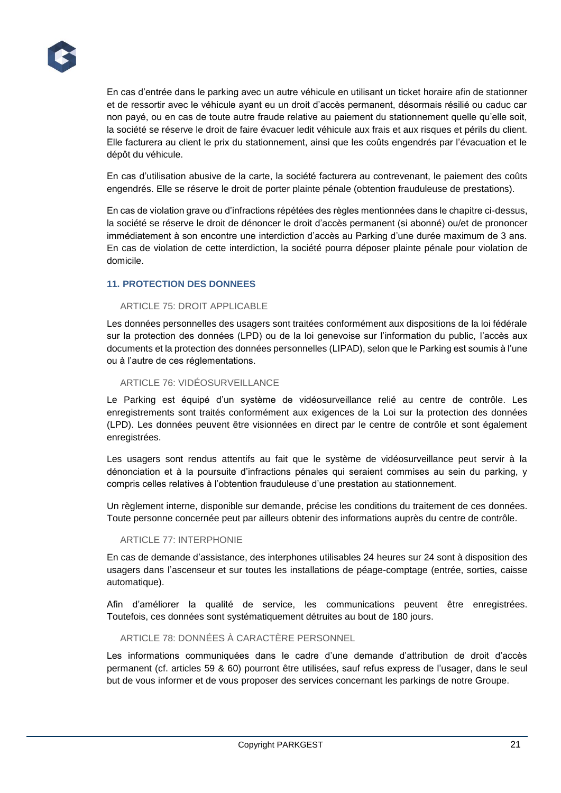En cas d'entrée dans le parking avec un autre véhicule en utilisant un ticket horaire afin de stationner et de ressortir avec le véhicule ayant eu un droit d'accès permanent, désormais résilié ou caduc car non payé, ou en cas de toute autre fraude relative au paiement du stationnement quelle qu'elle soit, la société se réserve le droit de faire évacuer ledit véhicule aux frais et aux risques et périls du client. Elle facturera au client le prix du stationnement, ainsi que les coûts engendrés par l'évacuation et le dépôt du véhicule.

En cas d'utilisation abusive de la carte, la société facturera au contrevenant, le paiement des coûts engendrés. Elle se réserve le droit de porter plainte pénale (obtention frauduleuse de prestations).

En cas de violation grave ou d'infractions répétées des règles mentionnées dans le chapitre ci-dessus, la société se réserve le droit de dénoncer le droit d'accès permanent (si abonné) ou/et de prononcer immédiatement à son encontre une interdiction d'accès au Parking d'une durée maximum de 3 ans. En cas de violation de cette interdiction, la société pourra déposer plainte pénale pour violation de domicile.

# **11. PROTECTION DES DONNEES**

# ARTICLE 75: DROIT APPLICABLE

Les données personnelles des usagers sont traitées conformément aux dispositions de la loi fédérale sur la protection des données (LPD) ou de la loi genevoise sur l'information du public, l'accès aux documents et la protection des données personnelles (LIPAD), selon que le Parking est soumis à l'une ou à l'autre de ces réglementations.

#### ARTICLE 76: VIDÉOSURVEILLANCE

Le Parking est équipé d'un système de vidéosurveillance relié au centre de contrôle. Les enregistrements sont traités conformément aux exigences de la Loi sur la protection des données (LPD). Les données peuvent être visionnées en direct par le centre de contrôle et sont également enregistrées.

Les usagers sont rendus attentifs au fait que le système de vidéosurveillance peut servir à la dénonciation et à la poursuite d'infractions pénales qui seraient commises au sein du parking, y compris celles relatives à l'obtention frauduleuse d'une prestation au stationnement.

Un règlement interne, disponible sur demande, précise les conditions du traitement de ces données. Toute personne concernée peut par ailleurs obtenir des informations auprès du centre de contrôle.

# ARTICLE 77: INTERPHONIE

En cas de demande d'assistance, des interphones utilisables 24 heures sur 24 sont à disposition des usagers dans l'ascenseur et sur toutes les installations de péage-comptage (entrée, sorties, caisse automatique).

Afin d'améliorer la qualité de service, les communications peuvent être enregistrées. Toutefois, ces données sont systématiquement détruites au bout de 180 jours.

# ARTICLE 78: DONNÉES À CARACTÈRE PERSONNEL

Les informations communiquées dans le cadre d'une demande d'attribution de droit d'accès permanent (cf. articles 59 & 60) pourront être utilisées, sauf refus express de l'usager, dans le seul but de vous informer et de vous proposer des services concernant les parkings de notre Groupe.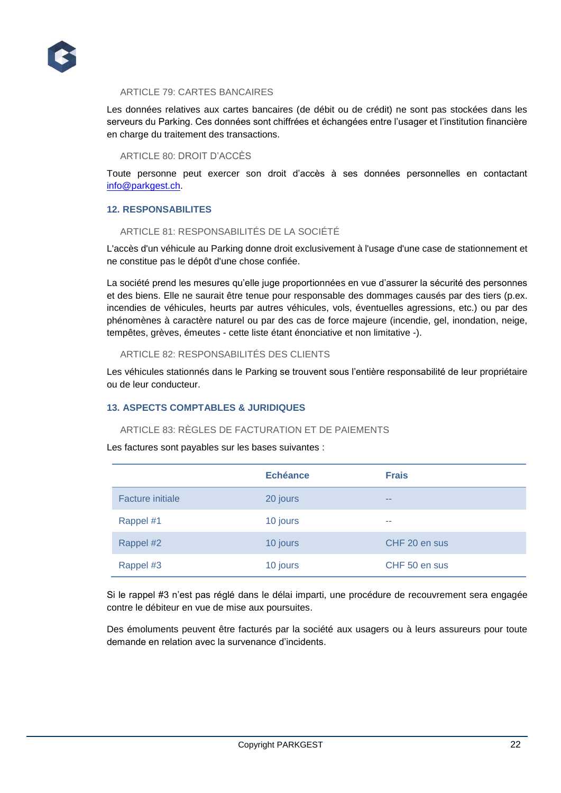

### ARTICLE 79: CARTES BANCAIRES

Les données relatives aux cartes bancaires (de débit ou de crédit) ne sont pas stockées dans les serveurs du Parking. Ces données sont chiffrées et échangées entre l'usager et l'institution financière en charge du traitement des transactions.

#### ARTICLE 80: DROIT D'ACCÈS

Toute personne peut exercer son droit d'accès à ses données personnelles en contactant [info@parkgest.ch.](mailto:info@parkgest.ch)

# **12. RESPONSABILITES**

# ARTICLE 81: RESPONSABILITÉS DE LA SOCIÉTÉ

L'accès d'un véhicule au Parking donne droit exclusivement à l'usage d'une case de stationnement et ne constitue pas le dépôt d'une chose confiée.

La société prend les mesures qu'elle juge proportionnées en vue d'assurer la sécurité des personnes et des biens. Elle ne saurait être tenue pour responsable des dommages causés par des tiers (p.ex. incendies de véhicules, heurts par autres véhicules, vols, éventuelles agressions, etc.) ou par des phénomènes à caractère naturel ou par des cas de force majeure (incendie, gel, inondation, neige, tempêtes, grèves, émeutes - cette liste étant énonciative et non limitative -).

#### ARTICLE 82: RESPONSABILITÉS DES CLIENTS

Les véhicules stationnés dans le Parking se trouvent sous l'entière responsabilité de leur propriétaire ou de leur conducteur.

# **13. ASPECTS COMPTABLES & JURIDIQUES**

# ARTICLE 83: RÈGLES DE FACTURATION ET DE PAIEMENTS

Les factures sont payables sur les bases suivantes :

|                         | <b>Echéance</b> | <b>Frais</b>  |
|-------------------------|-----------------|---------------|
| <b>Facture initiale</b> | 20 jours        | --            |
| Rappel #1               | 10 jours        | <b>COLOR</b>  |
| Rappel #2               | 10 jours        | CHF 20 en sus |
| Rappel #3               | 10 jours        | CHF 50 en sus |

Si le rappel #3 n'est pas réglé dans le délai imparti, une procédure de recouvrement sera engagée contre le débiteur en vue de mise aux poursuites.

Des émoluments peuvent être facturés par la société aux usagers ou à leurs assureurs pour toute demande en relation avec la survenance d'incidents.